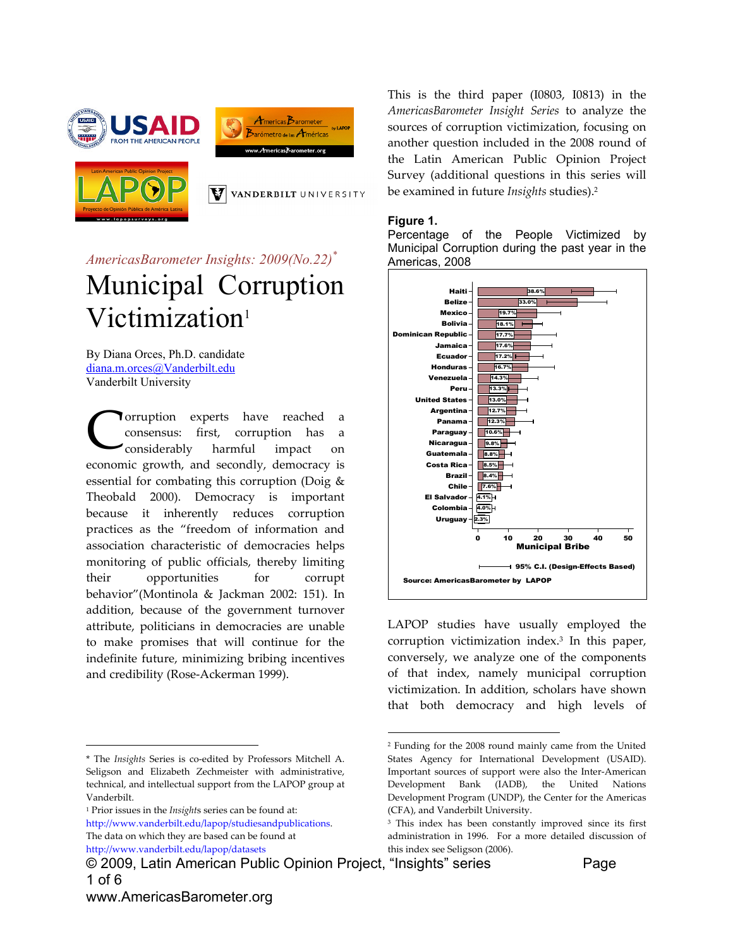





VANDERBILT UNIVERSITY

# *AmericasBarometer Insights: 2009(No.22)\** Municipal Corruption Victimization<sup>1</sup>

By Diana Orces, Ph.D. candidate diana.m.orces@Vanderbilt.edu Vanderbilt University

**Torruption** experts have reached a consensus: first, corruption has a considerably harmful impact on economic growth, and secondly, democracy is essential for combating this corruption (Doig & Theobald 2000). Democracy is important because it inherently reduces corruption practices as the "freedom of information and association characteristic of democracies helps monitoring of public officials, thereby limiting their opportunities for corrupt behavior"(Montinola & Jackman 2002: 151). In addition, because of the government turnover attribute, politicians in democracies are unable to make promises that will continue for the indefinite future, minimizing bribing incentives and credibility (Rose‐Ackerman 1999). C

<sup>1</sup> Prior issues in the *Insight*s series can be found at:

http://www.vanderbilt.edu/lapop/studiesandpublications. The data on which they are based can be found at http://www.vanderbilt.edu/lapop/datasets

© 2009, Latin American Public Opinion Project, "Insights" series Page 1 of 6

This is the third paper (I0803, I0813) in the *AmericasBarometer Insight Series* to analyze the sources of corruption victimization, focusing on another question included in the 2008 round of the Latin American Public Opinion Project Survey (additional questions in this series will be examined in future *Insights* studies).2

#### **Figure 1.**

 $\overline{a}$ 

Percentage of the People Victimized by Municipal Corruption during the past year in the Americas, 2008



LAPOP studies have usually employed the corruption victimization index.3 In this paper, conversely, we analyze one of the components of that index, namely municipal corruption victimization. In addition, scholars have shown that both democracy and high levels of

 $\overline{a}$ 

<sup>\*</sup> The *Insights* Series is co‐edited by Professors Mitchell A. Seligson and Elizabeth Zechmeister with administrative, technical, and intellectual support from the LAPOP group at Vanderbilt.

<sup>2</sup> Funding for the 2008 round mainly came from the United States Agency for International Development (USAID). Important sources of support were also the Inter‐American Development Bank (IADB), the United Nations Development Program (UNDP), the Center for the Americas (CFA), and Vanderbilt University.

<sup>&</sup>lt;sup>3</sup> This index has been constantly improved since its first administration in 1996. For a more detailed discussion of this index see Seligson (2006).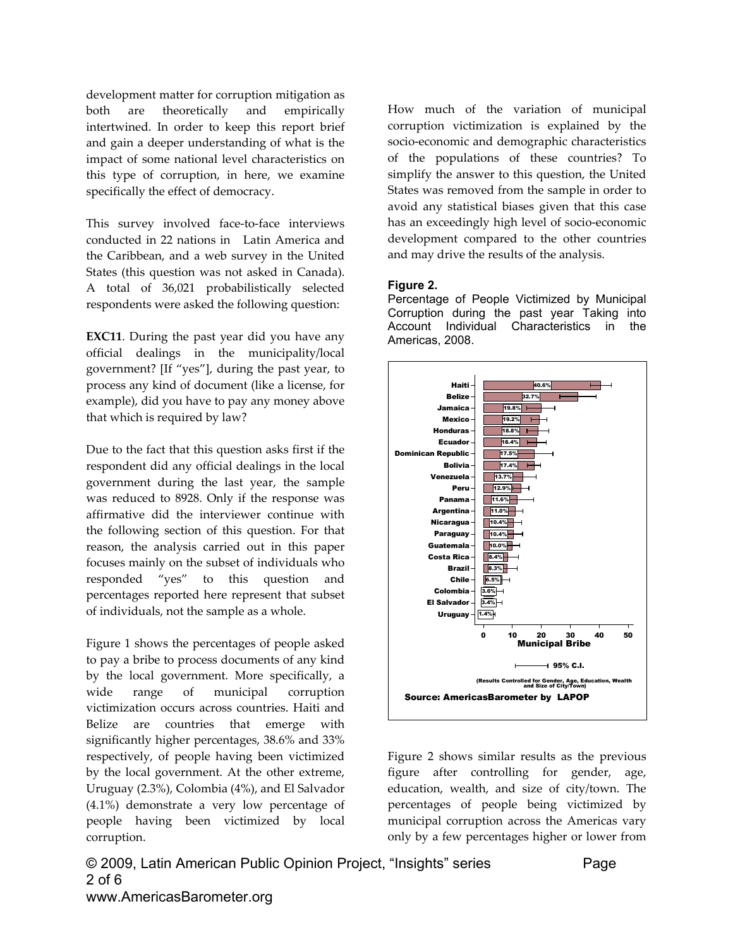development matter for corruption mitigation as both are theoretically and empirically intertwined. In order to keep this report brief and gain a deeper understanding of what is the impact of some national level characteristics on this type of corruption, in here, we examine specifically the effect of democracy.

This survey involved face-to-face interviews conducted in 22 nations in Latin America and the Caribbean, and a web survey in the United States (this question was not asked in Canada). A total of 36,021 probabilistically selected respondents were asked the following question:

**EXC11**. During the past year did you have any official dealings in the municipality/local government? [If "yes"], during the past year, to process any kind of document (like a license, for example), did you have to pay any money above that which is required by law?

Due to the fact that this question asks first if the respondent did any official dealings in the local government during the last year, the sample was reduced to 8928. Only if the response was affirmative did the interviewer continue with the following section of this question. For that reason, the analysis carried out in this paper focuses mainly on the subset of individuals who responded "yes" to this question and percentages reported here represent that subset of individuals, not the sample as a whole.

Figure 1 shows the percentages of people asked to pay a bribe to process documents of any kind by the local government. More specifically, a wide range of municipal corruption victimization occurs across countries. Haiti and Belize are countries that emerge with significantly higher percentages, 38.6% and 33% respectively, of people having been victimized by the local government. At the other extreme, Uruguay (2.3%), Colombia (4%), and El Salvador (4.1%) demonstrate a very low percentage of people having been victimized by local corruption.

How much of the variation of municipal corruption victimization is explained by the socio‐economic and demographic characteristics of the populations of these countries? To simplify the answer to this question, the United States was removed from the sample in order to avoid any statistical biases given that this case has an exceedingly high level of socio‐economic development compared to the other countries and may drive the results of the analysis.

#### **Figure 2.**

Percentage of People Victimized by Municipal Corruption during the past year Taking into Account Individual Characteristics in the Americas, 2008.



Figure 2 shows similar results as the previous figure after controlling for gender, age, education, wealth, and size of city/town. The percentages of people being victimized by municipal corruption across the Americas vary only by a few percentages higher or lower from

© 2009, Latin American Public Opinion Project, "Insights" series Page 2 of 6 www.AmericasBarometer.org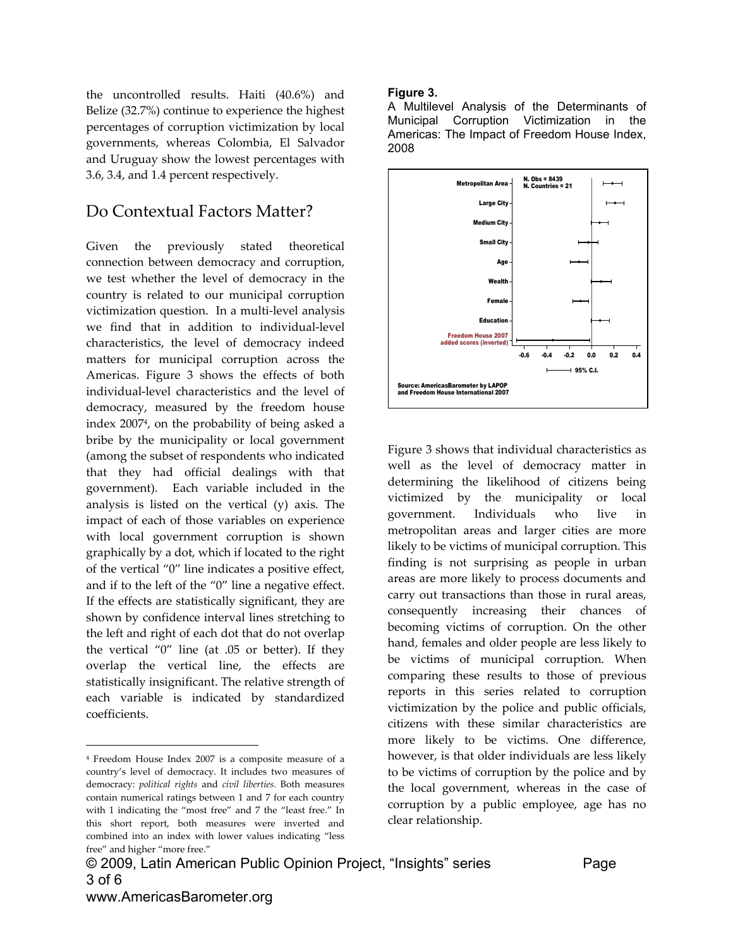the uncontrolled results. Haiti (40.6%) and Belize (32.7%) continue to experience the highest percentages of corruption victimization by local governments, whereas Colombia, El Salvador and Uruguay show the lowest percentages with 3.6, 3.4, and 1.4 percent respectively.

### Do Contextual Factors Matter?

Given the previously stated theoretical connection between democracy and corruption, we test whether the level of democracy in the country is related to our municipal corruption victimization question. In a multi‐level analysis we find that in addition to individual‐level characteristics, the level of democracy indeed matters for municipal corruption across the Americas. Figure 3 shows the effects of both individual‐level characteristics and the level of democracy, measured by the freedom house index 20074, on the probability of being asked a bribe by the municipality or local government (among the subset of respondents who indicated that they had official dealings with that government). Each variable included in the analysis is listed on the vertical (y) axis. The impact of each of those variables on experience with local government corruption is shown graphically by a dot, which if located to the right of the vertical "0" line indicates a positive effect, and if to the left of the "0" line a negative effect. If the effects are statistically significant, they are shown by confidence interval lines stretching to the left and right of each dot that do not overlap the vertical "0" line (at .05 or better). If they overlap the vertical line, the effects are statistically insignificant. The relative strength of each variable is indicated by standardized coefficients.

 $\overline{a}$ 

#### **Figure 3.**

A Multilevel Analysis of the Determinants of Municipal Corruption Victimization in the Americas: The Impact of Freedom House Index, 2008



Figure 3 shows that individual characteristics as well as the level of democracy matter in determining the likelihood of citizens being victimized by the municipality or local government. Individuals who live in metropolitan areas and larger cities are more likely to be victims of municipal corruption. This finding is not surprising as people in urban areas are more likely to process documents and carry out transactions than those in rural areas, consequently increasing their chances of becoming victims of corruption. On the other hand, females and older people are less likely to be victims of municipal corruption. When comparing these results to those of previous reports in this series related to corruption victimization by the police and public officials, citizens with these similar characteristics are more likely to be victims. One difference, however, is that older individuals are less likely to be victims of corruption by the police and by the local government, whereas in the case of corruption by a public employee, age has no clear relationship.

<sup>4</sup> Freedom House Index 2007 is a composite measure of a country's level of democracy. It includes two measures of democracy: *political rights* and *civil liberties.* Both measures contain numerical ratings between 1 and 7 for each country with 1 indicating the "most free" and 7 the "least free." In this short report, both measures were inverted and combined into an index with lower values indicating "less free" and higher "more free."

<sup>© 2009,</sup> Latin American Public Opinion Project, "Insights" series Page 3 of 6 www.AmericasBarometer.org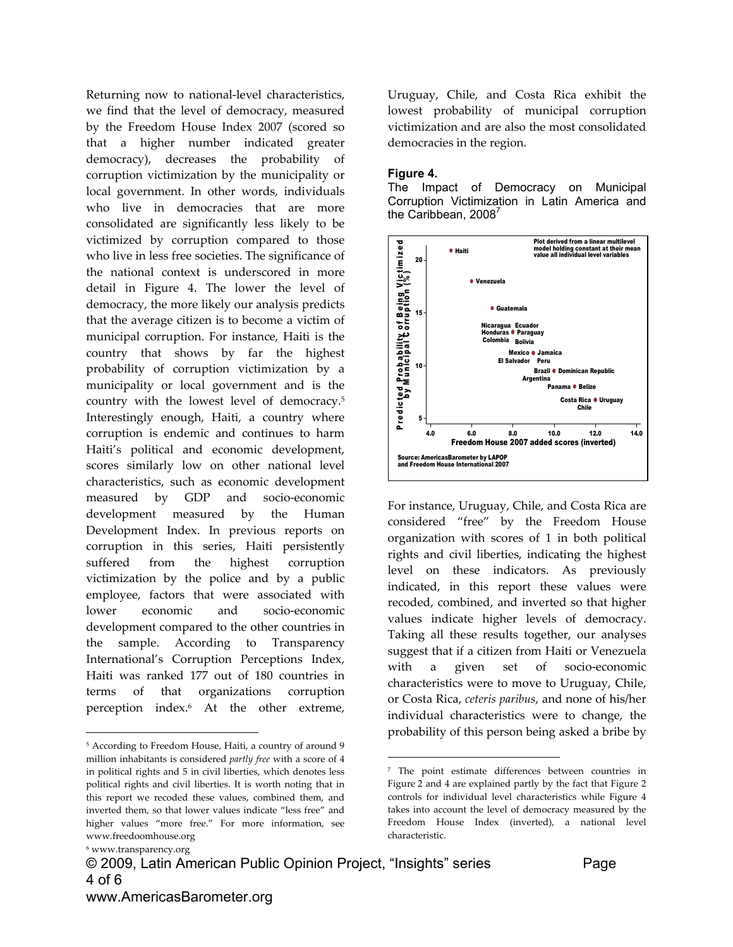Returning now to national-level characteristics, we find that the level of democracy, measured by the Freedom House Index 2007 (scored so that a higher number indicated greater democracy), decreases the probability of corruption victimization by the municipality or local government. In other words, individuals who live in democracies that are more consolidated are significantly less likely to be victimized by corruption compared to those who live in less free societies. The significance of the national context is underscored in more detail in Figure 4. The lower the level of democracy, the more likely our analysis predicts that the average citizen is to become a victim of municipal corruption. For instance, Haiti is the country that shows by far the highest probability of corruption victimization by a municipality or local government and is the country with the lowest level of democracy.5 Interestingly enough, Haiti, a country where corruption is endemic and continues to harm Haiti's political and economic development, scores similarly low on other national level characteristics, such as economic development measured by GDP and socio‐economic development measured by the Human Development Index. In previous reports on corruption in this series, Haiti persistently suffered from the highest corruption victimization by the police and by a public employee, factors that were associated with lower economic and socio‐economic development compared to the other countries in the sample. According to Transparency International's Corruption Perceptions Index, Haiti was ranked 177 out of 180 countries in terms of that organizations corruption perception index.6 At the other extreme,

 $\overline{a}$ 

© 2009, Latin American Public Opinion Project, "Insights" series Page 4 of 6 www.AmericasBarometer.org

 $\overline{a}$ 

Uruguay, Chile, and Costa Rica exhibit the lowest probability of municipal corruption victimization and are also the most consolidated democracies in the region.

#### **Figure 4.**

The Impact of Democracy on Municipal Corruption Victimization in Latin America and the Caribbean, 2008 $'$ 



For instance, Uruguay, Chile, and Costa Rica are considered "free" by the Freedom House organization with scores of 1 in both political rights and civil liberties, indicating the highest level on these indicators. As previously indicated, in this report these values were recoded, combined, and inverted so that higher values indicate higher levels of democracy. Taking all these results together, our analyses suggest that if a citizen from Haiti or Venezuela with a given set of socio-economic characteristics were to move to Uruguay, Chile, or Costa Rica, *ceteris paribus*, and none of his/her individual characteristics were to change, the probability of this person being asked a bribe by

<sup>5</sup> According to Freedom House, Haiti, a country of around 9 million inhabitants is considered *partly free* with a score of 4 in political rights and 5 in civil liberties, which denotes less political rights and civil liberties. It is worth noting that in this report we recoded these values, combined them, and inverted them, so that lower values indicate "less free" and higher values "more free." For more information, see www.freedoomhouse.org

<sup>6</sup> www.transparency.org

<sup>7</sup> The point estimate differences between countries in Figure 2 and 4 are explained partly by the fact that Figure 2 controls for individual level characteristics while Figure 4 takes into account the level of democracy measured by the Freedom House Index (inverted), a national level characteristic.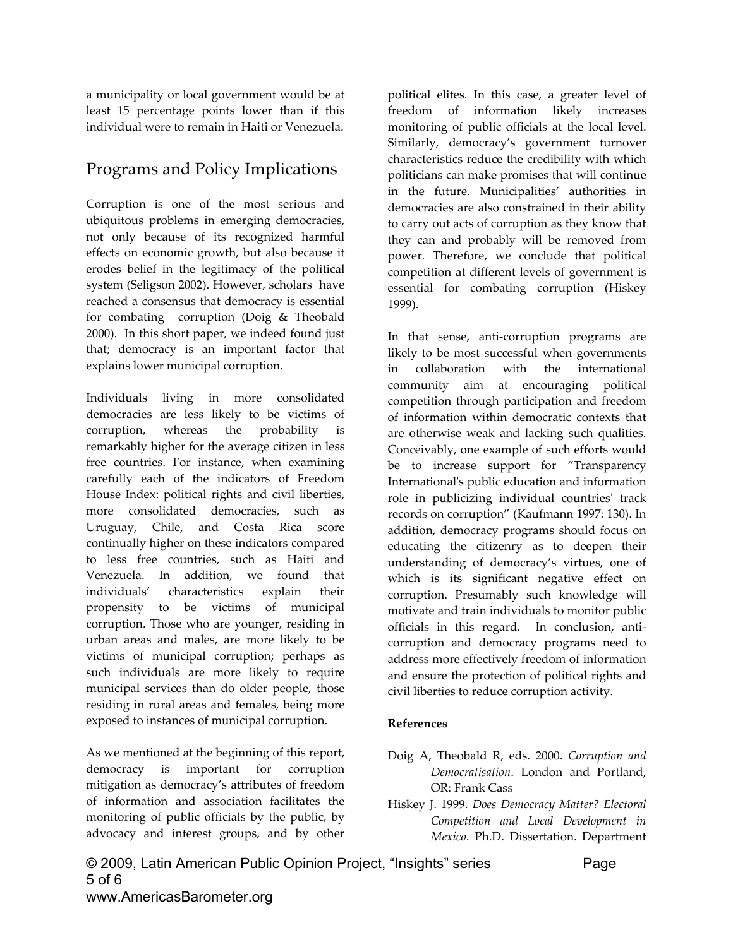a municipality or local government would be at least 15 percentage points lower than if this individual were to remain in Haiti or Venezuela.

## Programs and Policy Implications

Corruption is one of the most serious and ubiquitous problems in emerging democracies, not only because of its recognized harmful effects on economic growth, but also because it erodes belief in the legitimacy of the political system (Seligson 2002). However, scholars have reached a consensus that democracy is essential for combating corruption (Doig & Theobald 2000). In this short paper, we indeed found just that; democracy is an important factor that explains lower municipal corruption.

Individuals living in more consolidated democracies are less likely to be victims of corruption, whereas the probability is remarkably higher for the average citizen in less free countries. For instance, when examining carefully each of the indicators of Freedom House Index: political rights and civil liberties, more consolidated democracies, such as Uruguay, Chile, and Costa Rica score continually higher on these indicators compared to less free countries, such as Haiti and Venezuela. In addition, we found that individuals' characteristics explain their propensity to be victims of municipal corruption. Those who are younger, residing in urban areas and males, are more likely to be victims of municipal corruption; perhaps as such individuals are more likely to require municipal services than do older people, those residing in rural areas and females, being more exposed to instances of municipal corruption.

As we mentioned at the beginning of this report, democracy is important for corruption mitigation as democracy's attributes of freedom of information and association facilitates the monitoring of public officials by the public, by advocacy and interest groups, and by other political elites. In this case, a greater level of freedom of information likely increases monitoring of public officials at the local level. Similarly, democracy's government turnover characteristics reduce the credibility with which politicians can make promises that will continue in the future. Municipalities' authorities in democracies are also constrained in their ability to carry out acts of corruption as they know that they can and probably will be removed from power. Therefore, we conclude that political competition at different levels of government is essential for combating corruption (Hiskey 1999).

In that sense, anti-corruption programs are likely to be most successful when governments in collaboration with the international community aim at encouraging political competition through participation and freedom of information within democratic contexts that are otherwise weak and lacking such qualities. Conceivably, one example of such efforts would be to increase support for "Transparency Internationalʹs public education and information role in publicizing individual countriesʹ track records on corruption" (Kaufmann 1997: 130). In addition, democracy programs should focus on educating the citizenry as to deepen their understanding of democracy's virtues, one of which is its significant negative effect on corruption. Presumably such knowledge will motivate and train individuals to monitor public officials in this regard. In conclusion, anticorruption and democracy programs need to address more effectively freedom of information and ensure the protection of political rights and civil liberties to reduce corruption activity.

#### **References**

- Doig A, Theobald R, eds. 2000. *Corruption and Democratisation*. London and Portland, OR: Frank Cass
- Hiskey J. 1999. *Does Democracy Matter? Electoral Competition and Local Development in Mexico*. Ph.D. Dissertation. Department

© 2009, Latin American Public Opinion Project, "Insights" series Page 5 of 6 www.AmericasBarometer.org